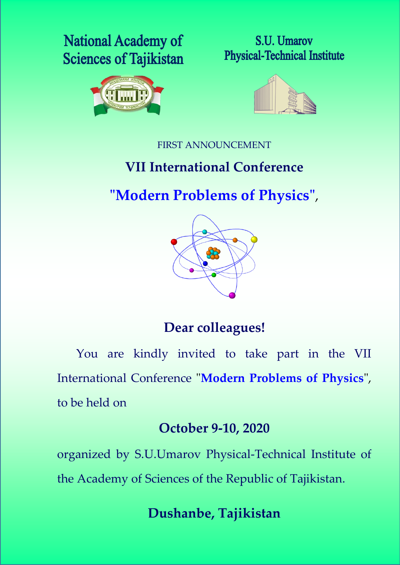# **National Academy of Sciences of Tajikistan**







FIRST ANNOUNCEMENT

# **VII International Conference**

# **"Modern Problems of Physics"** ,



# **Dear colleagues!**

You are kindly invited to take part in the VII International Conference "**Modern Problems of Physics**", to be held on

# **October 9-10, 2020**

organized by S.U.Umarov Physical-Technical Institute of the Academy of Sciences of the Republic of Tajikistan.

# **Dushanbe, Tajikistan**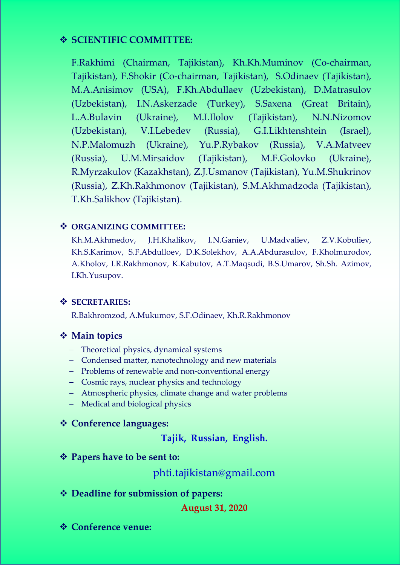### **SCIENTIFIC COMMITTEE:**

F.Rakhimi (Chairman, Tajikistan), Kh.Kh.Muminov (Co-chairman, Tajikistan), F.Shokir (Co-chairman, Tajikistan), S.Odinaev (Tajikistan), M.A.Anisimov (USA), F.Kh.Abdullaev (Uzbekistan), D.Matrasulov (Uzbekistan), I.N.Askerzade (Turkey), S.Saxena (Great Britain), L.A.Bulavin (Ukraine), M.I.Ilolov (Tajikistan), N.N.Nizomov (Uzbekistan), V.I.Lebedev (Russia), G.I.Likhtenshtein (Israel), N.P.Malomuzh (Ukraine), Yu.P.Rybakov (Russia), V.A.Matveev (Russia), U.M.Mirsaidov (Tajikistan), M.F.Golovko (Ukraine), R.Myrzakulov (Kazakhstan), Z.J.Usmanov (Tajikistan), Yu.M.Shukrinov (Russia), Z.Kh.Rakhmonov (Tajikistan), S.M.Akhmadzoda (Tajikistan), T.Kh.Salikhov (Tajikistan).

#### **ORGANIZING COMMITTEE:**

Kh.M.Akhmedov, J.H.Khalikov, I.N.Ganiev, U.Madvaliev, Z.V.Kobuliev, Kh.S.Karimov, S.F.Abdulloev, D.K.Solekhov, A.A.Abdurasulov, F.Kholmurodov, A.Kholov, I.R.Rakhmonov, K.Kabutov, A.T.Maqsudi, B.S.Umarov, Sh.Sh. Azimov, I.Kh.Yusupov.

#### **SECRETARIES:**

R.Bakhromzod, A.Mukumov, S.F.Odinaev, Kh.R.Rakhmonov

#### **Main topics**

- Theoretical physics, dynamical systems
- Condensed matter, nanotechnology and new materials
- Problems of renewable and non-conventional energy
- Cosmic rays, nuclear physics and technology
- Atmospheric physics, climate change and water problems
- Medical and biological physics

### **Conference languages:**

**Tajik, Russian, English.**

**Papers have to be sent to:**

phti.tajikistan@gmail.com

**Deadline for submission of papers:**

#### **August 31, 2020**

**Conference venue:**